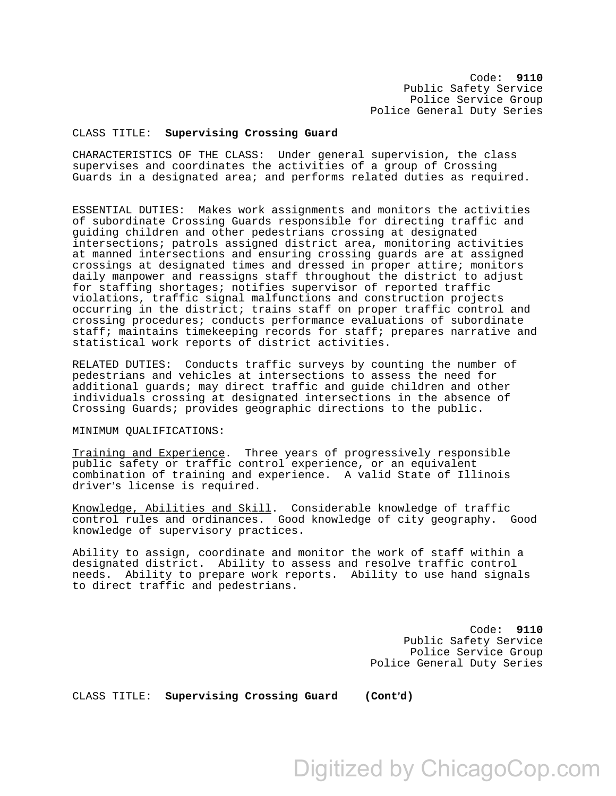Code: **9110** Public Safety Service Police Service Group Police General Duty Series

## CLASS TITLE: **Supervising Crossing Guard**

CHARACTERISTICS OF THE CLASS: Under general supervision, the class supervises and coordinates the activities of a group of Crossing Guards in a designated area; and performs related duties as required.

ESSENTIAL DUTIES: Makes work assignments and monitors the activities of subordinate Crossing Guards responsible for directing traffic and guiding children and other pedestrians crossing at designated intersections; patrols assigned district area, monitoring activities at manned intersections and ensuring crossing guards are at assigned crossings at designated times and dressed in proper attire; monitors daily manpower and reassigns staff throughout the district to adjust for staffing shortages; notifies supervisor of reported traffic violations, traffic signal malfunctions and construction projects occurring in the district; trains staff on proper traffic control and crossing procedures; conducts performance evaluations of subordinate staff; maintains timekeeping records for staff; prepares narrative and statistical work reports of district activities.

RELATED DUTIES: Conducts traffic surveys by counting the number of pedestrians and vehicles at intersections to assess the need for additional guards; may direct traffic and guide children and other individuals crossing at designated intersections in the absence of Crossing Guards; provides geographic directions to the public.

## MINIMUM QUALIFICATIONS:

Training and Experience. Three years of progressively responsible public safety or traffic control experience, or an equivalent combination of training and experience. A valid State of Illinois driver's license is required.

Knowledge, Abilities and Skill. Considerable knowledge of traffic control rules and ordinances. Good knowledge of city geography. Good knowledge of supervisory practices.

Ability to assign, coordinate and monitor the work of staff within a designated district. Ability to assess and resolve traffic control needs. Ability to prepare work reports. Ability to use hand signals to direct traffic and pedestrians.

> Code: **9110** Public Safety Service Police Service Group Police General Duty Series

Digitized by ChicagoCop.com

CLASS TITLE: **Supervising Crossing Guard** (Cont'd)